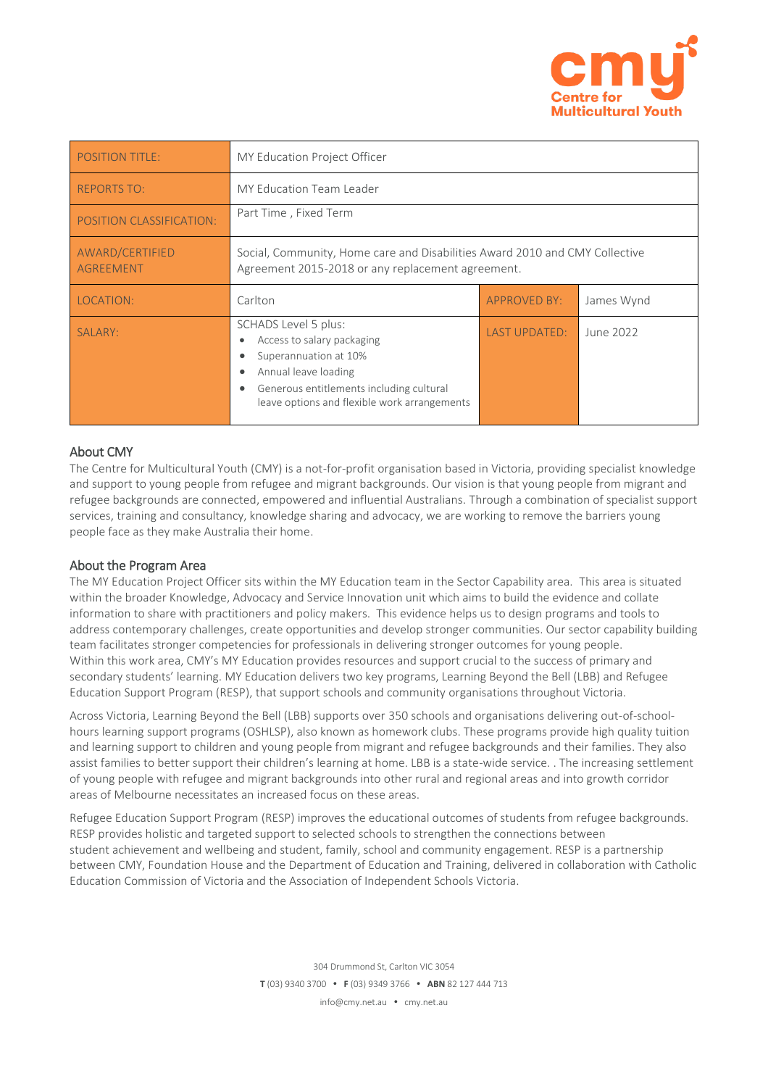

| <b>POSITION TITLE:</b>              | MY Education Project Officer                                                                                                                                                                                                                |                     |            |  |
|-------------------------------------|---------------------------------------------------------------------------------------------------------------------------------------------------------------------------------------------------------------------------------------------|---------------------|------------|--|
| <b>REPORTS TO:</b>                  | <b>MY Education Team Leader</b>                                                                                                                                                                                                             |                     |            |  |
| POSITION CLASSIFICATION:            | Part Time, Fixed Term                                                                                                                                                                                                                       |                     |            |  |
| AWARD/CERTIFIED<br><b>AGREEMENT</b> | Social, Community, Home care and Disabilities Award 2010 and CMY Collective<br>Agreement 2015-2018 or any replacement agreement.                                                                                                            |                     |            |  |
| LOCATION:                           | Carlton                                                                                                                                                                                                                                     | <b>APPROVED BY:</b> | James Wynd |  |
| SALARY:                             | SCHADS Level 5 plus:<br>Access to salary packaging<br>$\bullet$<br>Superannuation at 10%<br>٠<br>Annual leave loading<br>$\bullet$<br>Generous entitlements including cultural<br>$\bullet$<br>leave options and flexible work arrangements | LAST UPDATED:       | June 2022  |  |

# About CMY

The Centre for Multicultural Youth (CMY) is a not-for-profit organisation based in Victoria, providing specialist knowledge and support to young people from refugee and migrant backgrounds. Our vision is that young people from migrant and refugee backgrounds are connected, empowered and influential Australians. Through a combination of specialist support services, training and consultancy, knowledge sharing and advocacy, we are working to remove the barriers young people face as they make Australia their home.

## About the Program Area

The MY Education Project Officer sits within the MY Education team in the Sector Capability area. This area is situated within the broader Knowledge, Advocacy and Service Innovation unit which aims to build the evidence and collate information to share with practitioners and policy makers. This evidence helps us to design programs and tools to address contemporary challenges, create opportunities and develop stronger communities. Our sector capability building team facilitates stronger competencies for professionals in delivering stronger outcomes for young people. Within this work area, CMY's MY Education provides resources and support crucial to the success of primary and secondary students' learning. MY Education delivers two key programs, Learning Beyond the Bell (LBB) and Refugee Education Support Program (RESP), that support schools and community organisations throughout Victoria.

Across Victoria, Learning Beyond the Bell (LBB) supports over 350 schools and organisations delivering out-of-schoolhours learning support programs (OSHLSP), also known as homework clubs. These programs provide high quality tuition and learning support to children and young people from migrant and refugee backgrounds and their families. They also assist families to better support their children's learning at home. LBB is a state-wide service. . The increasing settlement of young people with refugee and migrant backgrounds into other rural and regional areas and into growth corridor areas of Melbourne necessitates an increased focus on these areas.

Refugee Education Support Program (RESP) improves the educational outcomes of students from refugee backgrounds. RESP provides holistic and targeted support to selected schools to strengthen the connections between student achievement and wellbeing and student, family, school and community engagement. RESP is a partnership between CMY, Foundation House and the Department of Education and Training, delivered in collaboration with Catholic Education Commission of Victoria and the Association of Independent Schools Victoria.

> 304 Drummond St, Carlton VIC 3054 **T** (03) 9340 3700 **F** (03) 9349 3766 **ABN** 82 127 444 713 info@cmy.net.au • cmy.net.au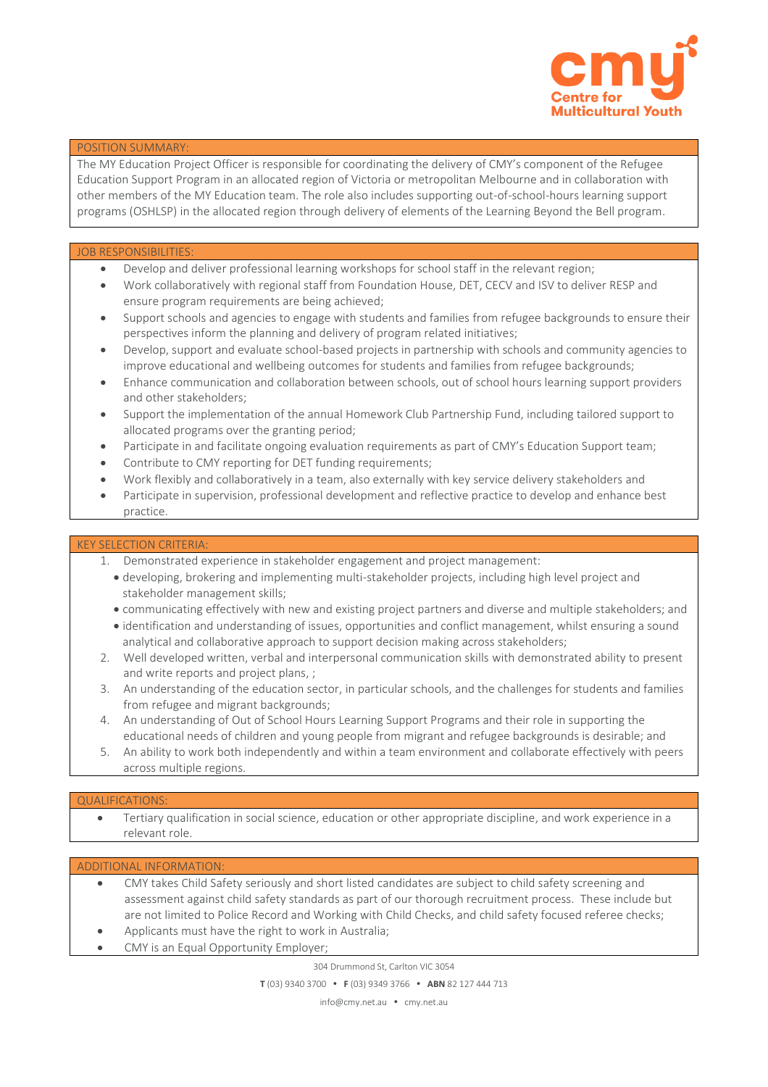

### POSITION SUMMARY:

The MY Education Project Officer is responsible for coordinating the delivery of CMY's component of the Refugee Education Support Program in an allocated region of Victoria or metropolitan Melbourne and in collaboration with other members of the MY Education team. The role also includes supporting out-of-school-hours learning support programs (OSHLSP) in the allocated region through delivery of elements of the Learning Beyond the Bell program.

#### JOB RESPONSIBILITIES

- Develop and deliver professional learning workshops for school staff in the relevant region;
- Work collaboratively with regional staff from Foundation House, DET, CECV and ISV to deliver RESP and ensure program requirements are being achieved;
- Support schools and agencies to engage with students and families from refugee backgrounds to ensure their perspectives inform the planning and delivery of program related initiatives;
- Develop, support and evaluate school-based projects in partnership with schools and community agencies to improve educational and wellbeing outcomes for students and families from refugee backgrounds;
- Enhance communication and collaboration between schools, out of school hours learning support providers and other stakeholders;
- Support the implementation of the annual Homework Club Partnership Fund, including tailored support to allocated programs over the granting period;
- Participate in and facilitate ongoing evaluation requirements as part of CMY's Education Support team;
- Contribute to CMY reporting for DET funding requirements;
- Work flexibly and collaboratively in a team, also externally with key service delivery stakeholders and
- Participate in supervision, professional development and reflective practice to develop and enhance best practice.

#### KEY SELECTION CRITERIA:

- 1. Demonstrated experience in stakeholder engagement and project management:
	- developing, brokering and implementing multi-stakeholder projects, including high level project and stakeholder management skills;
	- communicating effectively with new and existing project partners and diverse and multiple stakeholders; and
	- identification and understanding of issues, opportunities and conflict management, whilst ensuring a sound analytical and collaborative approach to support decision making across stakeholders;
- 2. Well developed written, verbal and interpersonal communication skills with demonstrated ability to present and write reports and project plans, ;
- 3. An understanding of the education sector, in particular schools, and the challenges for students and families from refugee and migrant backgrounds;
- 4. An understanding of Out of School Hours Learning Support Programs and their role in supporting the educational needs of children and young people from migrant and refugee backgrounds is desirable; and
- 5. An ability to work both independently and within a team environment and collaborate effectively with peers across multiple regions.

#### QUALIFICATIONS:

 Tertiary qualification in social science, education or other appropriate discipline, and work experience in a relevant role.

#### ADDITIONAL INFORMATION:

- CMY takes Child Safety seriously and short listed candidates are subject to child safety screening and assessment against child safety standards as part of our thorough recruitment process. These include but are not limited to Police Record and Working with Child Checks, and child safety focused referee checks;
- Applicants must have the right to work in Australia; CMY is an Equal Opportunity Employer;

304 Drummond St, Carlton VIC 3054